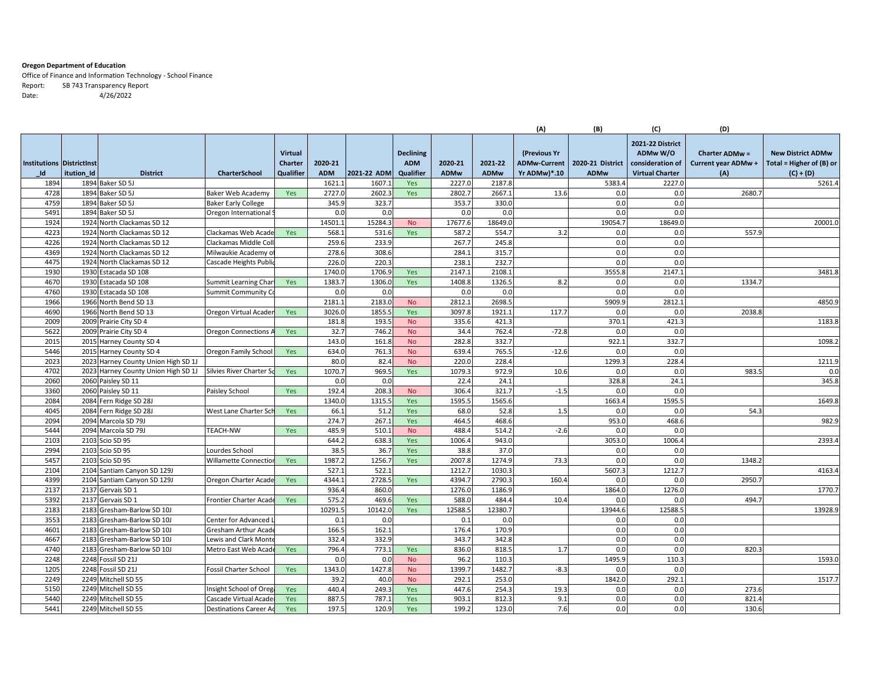## **Oregon Department of Education**

Office of Finance and Information Technology ‐ School Finance Report: SB 743 Transparency Report Date: 4/26/2022

|                                  |            |                                          |                                                 |                |                |                |                        |               |                 | (A)                 | (B)              | (C)                    | (D)                   |                          |
|----------------------------------|------------|------------------------------------------|-------------------------------------------------|----------------|----------------|----------------|------------------------|---------------|-----------------|---------------------|------------------|------------------------|-----------------------|--------------------------|
|                                  |            |                                          |                                                 |                |                |                |                        |               |                 |                     |                  | 2021-22 District       |                       |                          |
|                                  |            |                                          |                                                 | <b>Virtual</b> |                |                | <b>Declining</b>       |               |                 | (Previous Yr        |                  | ADMw W/O               | <b>Charter ADMw =</b> | <b>New District ADMw</b> |
| <b>Institutions Districtinst</b> |            |                                          |                                                 | <b>Charter</b> | 2020-21        |                | <b>ADM</b>             | 2020-21       | 2021-22         | <b>ADMw-Current</b> | 2020-21 District | consideration of       | Current year ADMw +   | Total = Higher of (B) or |
| Id                               | itution_Id | <b>District</b>                          | <b>CharterSchool</b>                            | Qualifier      | <b>ADM</b>     | 2021-22 ADM    | Qualifier              | <b>ADMw</b>   | <b>ADMw</b>     | Yr ADMw)*.10        | <b>ADMw</b>      | <b>Virtual Charter</b> | (A)                   | $(C) + (D)$              |
| 1894                             |            | 1894 Baker SD 5J                         |                                                 |                | 1621           | 1607.1         | Yes                    | 2227.0        | 2187.8          |                     | 5383.4           | 2227.0                 |                       | 5261.4                   |
| 4728                             |            | 1894 Baker SD 5J                         | Baker Web Academy                               | Yes            | 2727.          | 2602.3         | Yes                    | 2802.         | 2667.           | 13.6                | 0.0              | 0.0                    | 2680.                 |                          |
| 4759                             |            | 1894 Baker SD 5J                         | <b>Baker Early College</b>                      |                | 345.9          | 323.7          |                        | 353.          | 330.C           |                     | 0.0              | 0.0                    |                       |                          |
| 5491                             |            | 1894 Baker SD 5J                         | Oregon International                            |                | 0.0            | 0.0            |                        | 0.0           | 0.0             |                     | 0.0              | 0.0                    |                       |                          |
| 1924                             |            | 1924 North Clackamas SD 12               |                                                 |                | 14501.         | 15284.3        | <b>No</b>              | 17677.        | 18649.0         |                     | 19054.7          | 18649.0                |                       | 20001.0                  |
| 4223                             |            | 1924 North Clackamas SD 12               | Clackamas Web Acade                             | Yes            | 568.           | 531.6          | Yes                    | 587.          | 554.7           | 3.2                 | 0.0              | 0.0                    | 557.9                 |                          |
| 4226                             |            | 1924 North Clackamas SD 12               | Clackamas Middle Col                            |                | 259.6          | 233.9          |                        | 267.          | 245.8           |                     | 0.0              | 0.0                    |                       |                          |
| 4369                             |            | 1924 North Clackamas SD 12               | Milwaukie Academy o                             |                | 278.6          | 308.6          |                        | 284.          | 315.7           |                     | 0.0              | 0.0                    |                       |                          |
| 4475                             |            | 1924 North Clackamas SD 12               | Cascade Heights Publi                           |                | 226.0          | 220.3          |                        | 238.          | 232.7           |                     | 0.0              | 0.0                    |                       |                          |
| 1930                             |            | 1930 Estacada SD 108                     |                                                 |                | 1740.0         | 1706.9         | Yes                    | 2147.         | 2108.1          |                     | 3555.8           | 2147.1                 |                       | 3481.8                   |
| 4670                             |            | 1930 Estacada SD 108                     | Summit Learning Char                            | Yes            | 1383.          | 1306.0         | Yes                    | 1408.         | 1326.5          | 8.2                 | 0.0              | 0.0                    | 1334.7                |                          |
| 4760                             |            | 1930 Estacada SD 108                     | Summit Community C                              |                | 0.0            | 0.0            |                        | 0.0           | 0.0             |                     | 0.0              | 0.0                    |                       |                          |
| 1966                             |            | 1966 North Bend SD 13                    |                                                 |                | 2181.          | 2183.0         | <b>No</b>              | 2812.         | 2698.5          |                     | 5909.9           | 2812.1                 |                       | 4850.9                   |
| 4690                             |            | 1966 North Bend SD 13                    | Oregon Virtual Acade                            | Yes            | 3026.0         | 1855.5         | Yes                    | 3097.         | 1921.1          | 117.7               | 0.0              | 0.0                    | 2038.                 |                          |
| 2009                             |            | 2009 Prairie City SD 4                   |                                                 |                | 181.8          | 193.5          | <b>No</b>              | 335.6         | 421.3           |                     | 370.1            | 421.3                  |                       | 1183.8                   |
| 5622                             |            | 2009 Prairie City SD 4                   | <b>Oregon Connections</b>                       | Yes            | 32.7           | 746.2          | <b>No</b>              | 34.4          | 762.4           | $-72.8$             | 0.0              | 0.0                    |                       |                          |
| 2015                             |            | 2015 Harney County SD 4                  |                                                 |                | 143.0          | 161.8          | <b>No</b>              | 282.8         | 332.7           |                     | 922.1            | 332.7                  |                       | 1098.2                   |
| 5446                             |            | 2015 Harney County SD 4                  | Oregon Family Schoo                             | Yes            | 634.0          | 761.3          | <b>No</b>              | 639.4         | 765.5           | $-12.6$             | 0.0              | 0.0                    |                       |                          |
| 2023                             |            | 2023 Harney County Union High SD 1J      |                                                 |                | 80.0           | 82.4           | <b>No</b>              | 220.0         | 228.4           |                     | 1299.3           | 228.4                  |                       | 1211.9                   |
| 4702                             |            | 2023 Harney County Union High SD 1J      | Silvies River Charter S                         | Yes            | 1070.7         | 969.5          | Yes                    | 1079.3        | 972.9           | 10.6                | 0.0              | 0.0                    | 983.                  | 0.0                      |
| 2060                             |            | 2060 Paisley SD 11                       |                                                 |                | 0.0            | 0.0            |                        | 22.4          | 24.1            |                     | 328.8            | 24.1                   |                       | 345.8                    |
| 3360                             |            | 2060 Paisley SD 11                       | Paisley School                                  | Yes            | 192.4          | 208.3          | <b>No</b>              | 306.4         | 321.7           | $-1.5$              | 0.0              | 0.0                    |                       |                          |
| 2084                             |            | 2084 Fern Ridge SD 28J                   |                                                 |                | 1340.0         | 1315.5         | Yes                    | 1595.         | 1565.6          |                     | 1663.4           | 1595.5                 |                       | 1649.8                   |
| 4045                             |            | 2084 Fern Ridge SD 28J                   | West Lane Charter Sc                            | Yes            | 66.1           | 51.2           | Yes                    | 68.0          | 52.8            | 1.5                 | 0.0              | 0.0                    | 54.3                  |                          |
| 2094                             |            | 2094 Marcola SD 79J                      |                                                 |                | 274.7          | 267.1          | Yes                    | 464.5         | 468.6           |                     | 953.0            | 468.6                  |                       | 982.9                    |
| 5444                             |            | 2094 Marcola SD 79J                      | TEACH-NW                                        | Yes            | 485.9          | 510.1          | <b>No</b>              | 488.          | 514.2           | $-2.6$              | 0.0              | 0.0                    |                       |                          |
| 2103                             |            | 2103 Scio SD 95                          |                                                 |                | 644.2          | 638.3          | Yes                    | 1006.         | 943.0           |                     | 3053.0           | 1006.4                 |                       | 2393.4                   |
| 2994                             |            | 2103 Scio SD 95                          | Lourdes School                                  |                | 38.5           | 36.7           | Yes                    | 38.8          | 37.0            |                     | 0.0              | 0.0                    |                       |                          |
| 5457                             |            | 2103 Scio SD 95                          | Willamette Connectior                           | Yes            | 1987.2         | 1256.7         | Yes                    | 2007.8        | 1274.9          | 73.3                | 0.0              | 0.0                    | 1348.2                |                          |
| 2104                             |            | 2104 Santiam Canyon SD 129J              |                                                 |                | 527.           | 522.1          |                        | 1212.         | 1030.3          |                     | 5607.3           | 1212.7                 |                       | 4163.4                   |
| 4399                             |            | 2104 Santiam Canyon SD 129J              | Oregon Charter Acade                            | Yes            | 4344.1         | 2728.5         | Yes                    | 4394.7        | 2790.3          | 160.4               | 0.0              | 0.0                    | 2950.                 |                          |
| 2137                             |            | 2137 Gervais SD 1                        |                                                 |                | 936.4          | 860.0          |                        | 1276.0        | 1186.9          |                     | 1864.0           | 1276.0                 |                       | 1770.7                   |
| 5392                             |            | 2137 Gervais SD 1                        | Frontier Charter Acade                          | Yes            | 575.2          | 469.6          | Yes                    | 588.0         | 484.4           | 10.4                | 0.0              | 0.0                    | 494.7                 |                          |
| 2183                             |            | 2183 Gresham-Barlow SD 10J               |                                                 |                | 10291.5        | 10142.0<br>0.0 | Yes                    | 12588.        | 12380.7<br>0.0  |                     | 13944.6          | 12588.5                |                       | 13928.9                  |
| 3553                             |            | 2183 Gresham-Barlow SD 10J               | Center for Advanced                             |                | 0.1            |                |                        | 0.1           |                 |                     | 0.0              | 0.0                    |                       |                          |
| 4601                             |            | 2183 Gresham-Barlow SD 10J               | Gresham Arthur Acad                             |                | 166.5          | 162.1<br>332.9 |                        | 176.<br>343.7 | 170.9<br>342.8  |                     | 0.0<br>0.0       | 0.0<br>0.0             |                       |                          |
| 4667<br>4740                     |            | 2183 Gresham-Barlow SD 10J               | Lewis and Clark Mont                            |                | 332.4<br>796.4 | 773.1          |                        | 836.0         | 818.5           | 1.7                 | 0.0              | 0.0                    |                       |                          |
| 2248                             |            | 2183 Gresham-Barlow SD 10J               | Metro East Web Acad                             | Yes            |                |                | Yes                    | 96.2          |                 |                     | 1495.9           | 110.3                  | 820.3                 | 1593.0                   |
| 1205                             |            | 2248 Fossil SD 21J<br>2248 Fossil SD 21J |                                                 |                | 0.0<br>1343.0  | 0.0<br>1427.8  | <b>No</b>              | 1399.7        | 110.3           |                     |                  | 0.0                    |                       |                          |
| 2249                             |            | 2249 Mitchell SD 55                      | Fossil Charter School                           | Yes            | 39.2           | 40.0           | <b>No</b><br><b>No</b> | 292.          | 1482.7<br>253.0 | $-8.3$              | 0.0<br>1842.0    | 292.1                  |                       | 1517.7                   |
| 5150                             |            | 2249 Mitchell SD 55                      | Insight School of Ore                           | Yes            | 440.4          | 249.3          | Yes                    | 447.6         | 254.3           | 19.3                | 0.0              | 0.0                    | 273.6                 |                          |
| 5440                             |            | 2249 Mitchell SD 55                      |                                                 | Yes            | 887.5          | 787.1          | Yes                    | 903.          | 812.3           | 9.1                 | 0.0              | 0.0                    | 821.4                 |                          |
| 5441                             |            | 2249 Mitchell SD 55                      | Cascade Virtual Acade<br>Destinations Career Ao | Yes            | 197.5          | 120.9          | Yes                    | 199.2         | 123.0           | 7.6                 | 0.0              | 0.0                    | 130.6                 |                          |
|                                  |            |                                          |                                                 |                |                |                |                        |               |                 |                     |                  |                        |                       |                          |